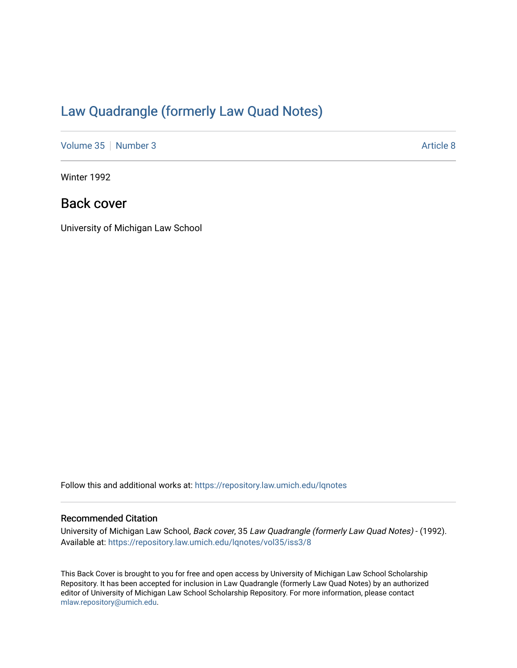## [Law Quadrangle \(formerly Law Quad Notes\)](https://repository.law.umich.edu/lqnotes)

[Volume 35](https://repository.law.umich.edu/lqnotes/vol35) | [Number 3](https://repository.law.umich.edu/lqnotes/vol35/iss3) Article 8

Winter 1992

## Back cover

University of Michigan Law School

Follow this and additional works at: [https://repository.law.umich.edu/lqnotes](https://repository.law.umich.edu/lqnotes?utm_source=repository.law.umich.edu%2Flqnotes%2Fvol35%2Fiss3%2F8&utm_medium=PDF&utm_campaign=PDFCoverPages) 

#### Recommended Citation

University of Michigan Law School, Back cover, 35 Law Quadrangle (formerly Law Quad Notes) - (1992). Available at: [https://repository.law.umich.edu/lqnotes/vol35/iss3/8](https://repository.law.umich.edu/lqnotes/vol35/iss3/8?utm_source=repository.law.umich.edu%2Flqnotes%2Fvol35%2Fiss3%2F8&utm_medium=PDF&utm_campaign=PDFCoverPages) 

This Back Cover is brought to you for free and open access by University of Michigan Law School Scholarship Repository. It has been accepted for inclusion in Law Quadrangle (formerly Law Quad Notes) by an authorized editor of University of Michigan Law School Scholarship Repository. For more information, please contact [mlaw.repository@umich.edu.](mailto:mlaw.repository@umich.edu)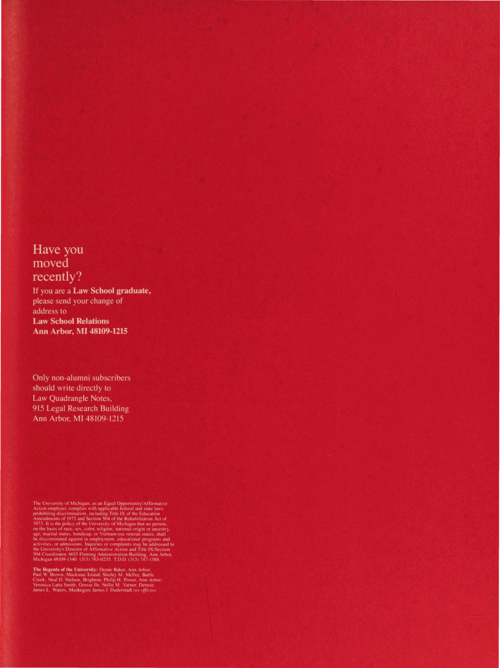### Have you moved recently?

If you are a Law School graduate, please send your change of address to **Law School Relations Ann Arbor, MI 48109-1215** 

Only non-alumni subscribers should write directly to Law Quadrangle Notes, 915 Legal Research Building Ann Arbor, MI 48109-1215

The University of Michigan, as an Equal Opportunity/Affirmative<br>Action employer, complies with applicable federal and state laws<br>prohibiting discrimination, including Title IX of the Education<br>Amendments of 1972 and Secti

**The Regents of the University:** Deane Baker, Ann Arbor: Paul W. Brown, Mackinac Island; Shirley M. McFee, Battle Creek; Neal D. Nielsen, Brighton: Philip H. Power, Ann Arbor; Veronica Latta Smith, Grosse Ile; Nellie M. V